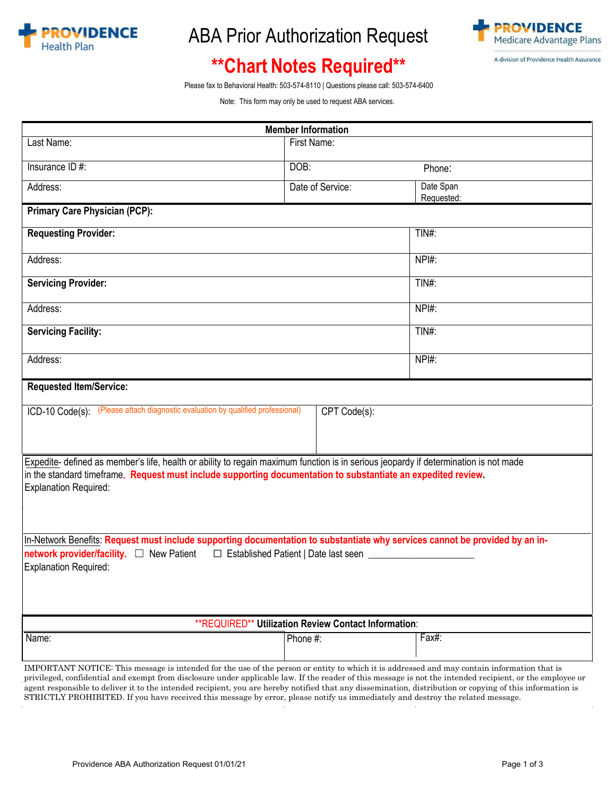

## ABA Prior Authorization Request



# **\*\*Chart Notes Required\*\***

Please fax to Behavioral Health: 503-574-8110 | Questions please call: 503-574-6400

Note: T[his form may only be used to request ABA services.](http://www.americanimaging.net/goweb/) 

| <b>Member Information</b>                                                                                                                                                                                                                                                                                |                  |                         |  |
|----------------------------------------------------------------------------------------------------------------------------------------------------------------------------------------------------------------------------------------------------------------------------------------------------------|------------------|-------------------------|--|
| Last Name:                                                                                                                                                                                                                                                                                               | First Name:      |                         |  |
| Insurance ID #:                                                                                                                                                                                                                                                                                          | DOB:             | Phone:                  |  |
| Address:                                                                                                                                                                                                                                                                                                 | Date of Service: | Date Span<br>Requested: |  |
| <b>Primary Care Physician (PCP):</b>                                                                                                                                                                                                                                                                     |                  |                         |  |
| <b>Requesting Provider:</b>                                                                                                                                                                                                                                                                              |                  | TIN#:                   |  |
| Address:                                                                                                                                                                                                                                                                                                 |                  | NPI#:                   |  |
| <b>Servicing Provider:</b>                                                                                                                                                                                                                                                                               |                  | TIN#:                   |  |
| Address:                                                                                                                                                                                                                                                                                                 |                  | NPI#:                   |  |
| <b>Servicing Facility:</b>                                                                                                                                                                                                                                                                               |                  | $TIN#$ :                |  |
| Address:                                                                                                                                                                                                                                                                                                 |                  | $NPI#$ :                |  |
| <b>Requested Item/Service:</b>                                                                                                                                                                                                                                                                           |                  |                         |  |
| ICD-10 Code(s): (Please attach diagnostic evaluation by qualified professional)<br>CPT Code(s):                                                                                                                                                                                                          |                  |                         |  |
| Expedite- defined as member's life, health or ability to regain maximum function is in serious jeopardy if determination is not made<br>in the standard timeframe. Request must include supporting documentation to substantiate an expedited review.<br><b>Explanation Required:</b>                    |                  |                         |  |
| In-Network Benefits: Request must include supporting documentation to substantiate why services cannot be provided by an in-<br>network provider/facility. □ New Patient □ Established Patient   Date last seen ___________<br><b>Explanation Required:</b>                                              |                  |                         |  |
| **REQUIRED** Utilization Review Contact Information:                                                                                                                                                                                                                                                     |                  |                         |  |
| Name:                                                                                                                                                                                                                                                                                                    | Phone #:         | Fax#:                   |  |
| IMPORTANT NOTICE: This message is intended for the use of the person or entity to which it is addressed and may contain information that is<br>privileged, confidential and exempt from disclosure under applicable law. If the reader of this message is not the intended recipient, or the employee or |                  |                         |  |

agent responsible to deliver it to the intended recipient, you are hereby notified that any dissemination, distribution or copying of this information is STRICTLY PROHIBITED. If you have received this message by error, please notify us immediately and destroy the related message.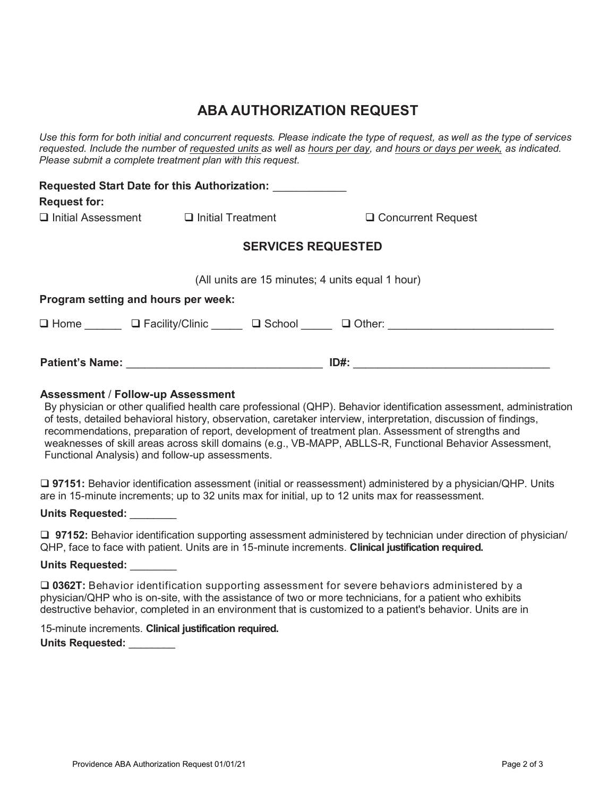### **ABA AUTHORIZATION REQUEST**

*Use this form for both initial and concurrent requests. Please indicate the type of request, as well as the type of services requested. Include the number of requested units as well as hours per day, and hours or days per week, as indicated. Please submit a complete treatment plan with this request.* 

| <b>Request for:</b>                              | Requested Start Date for this Authorization: ____________ |                                            |  |  |
|--------------------------------------------------|-----------------------------------------------------------|--------------------------------------------|--|--|
|                                                  | $\Box$ Initial Assessment $\Box$ Initial Treatment        | $\Box$ Concurrent Request                  |  |  |
| <b>SERVICES REQUESTED</b>                        |                                                           |                                            |  |  |
| (All units are 15 minutes; 4 units equal 1 hour) |                                                           |                                            |  |  |
|                                                  | Program setting and hours per week:                       |                                            |  |  |
|                                                  |                                                           | □ Home □ Facility/Clinic □ School □ Other: |  |  |
|                                                  |                                                           |                                            |  |  |

### **Assessment** / **Follow-up Assessment**

By physician or other qualified health care professional (QHP). Behavior identification assessment, administration of tests, detailed behavioral history, observation, caretaker interview, interpretation, discussion of findings, recommendations, preparation of report, development of treatment plan. Assessment of strengths and weaknesses of skill areas across skill domains (e.g., VB-MAPP, ABLLS-R, Functional Behavior Assessment, Functional Analysis) and follow-up assessments.

 **97151:** Behavior identification assessment (initial or reassessment) administered by a physician/QHP. Units are in 15-minute increments; up to 32 units max for initial, up to 12 units max for reassessment.

**Units Requested:** \_\_\_\_\_\_\_\_

**97152:** Behavior identification supporting assessment administered by technician under direction of physician/ QHP, face to face with patient. Units are in 15-minute increments. **Clinical justification required.**

**Units Requested:** \_\_\_\_\_\_\_\_

 **0362T:** Behavior identification supporting assessment for severe behaviors administered by a physician/QHP who is on-site, with the assistance of two or more technicians, for a patient who exhibits destructive behavior, completed in an environment that is customized to a patient's behavior. Units are in

15-minute increments. **Clinical justification required. Units Requested:** \_\_\_\_\_\_\_\_